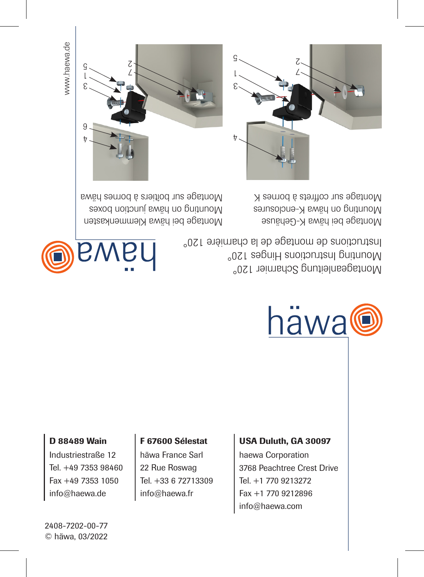www.haewa.de

7

9

3 1  $\frac{c}{1}$   $\sim$  7 ሪ

häwa

Montage bei häwa Klemmenkasten Montage bei häwa K-Gehäuse Mounting on boundary sextend on have a series and the sextend of the sextend porters are sextend of the sextend of the sextend of the sextend of the sextend of the sextend of the sextend of the sextend of the sextending of Montage sur coffrets à bornes K<br>Montage sur coffrets à bornes M

> Montageanleitung Scharnier 120° Mounting Instructions Hinges 120°

> Instructions de montage de la charnière 120°

#### D 88489 Wain

2408-7202-00-77

C häwa, 03/2022

Industriestraße 12 Tel. +49 7353 98460 Fax +49 7353 1050 info@haewa.de  $\overline{0}$ <br>  $\overline{0}$ <br>  $\overline{0}$ <br>  $\overline{0}$ <br>  $\overline{0}$ <br>  $\overline{0}$ <br>  $\overline{0}$ <br>  $\overline{0}$ <br>  $\overline{0}$ <br>  $\overline{0}$ <br>  $\overline{0}$ <br>  $\overline{0}$ <br>  $\overline{0}$ <br>  $\overline{0}$ <br>  $\overline{0}$ <br>  $\overline{0}$ <br>  $\overline{0}$ <br>  $\overline{0}$ <br>  $\overline{0}$ <br>  $\overline{0}$ <br>  $\overline{0}$ <br>  $\overline{0}$ <br>

häwa France Sarl 22 Rue Roswag Tel. +33 6 72713309 info@haewa.fr

F 67600 Sélestat

### USA Duluth, GA 30097

haewa Corporation 3768 Peachtree Crest Drive Tel. +1 770 9213272 Fax +1 770 9212896 info@haewa.com